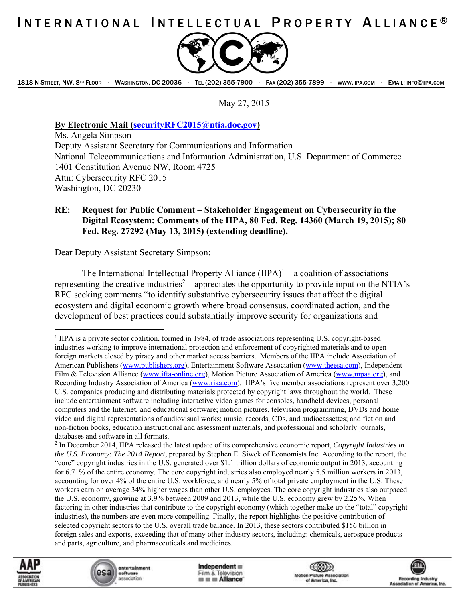## INTERNATIONAL INTELLECTUAL PROPERTY ALLIANCE<sup>®</sup>



1818 N STREET, NW, 8TH FLOOR · WASHINGTON, DC 20036 · TEL (202) 355-7900 · FAX (202) 355-7899 · WWW.IIPA.COM · EMAIL: INFO@IIPA.COM

May 27, 2015

**By Electronic Mail (securityRFC2015@ntia.doc.gov)** 

Ms. Angela Simpson Deputy Assistant Secretary for Communications and Information National Telecommunications and Information Administration, U.S. Department of Commerce 1401 Constitution Avenue NW, Room 4725 Attn: Cybersecurity RFC 2015 Washington, DC 20230

## **RE: Request for Public Comment – Stakeholder Engagement on Cybersecurity in the Digital Ecosystem: Comments of the IIPA, 80 Fed. Reg. 14360 (March 19, 2015); 80 Fed. Reg. 27292 (May 13, 2015) (extending deadline).**

Dear Deputy Assistant Secretary Simpson:

The International Intellectual Property Alliance  $(IIPA)^1$  – a coalition of associations representing the creative industries<sup>2</sup> – appreciates the opportunity to provide input on the NTIA's RFC seeking comments "to identify substantive cybersecurity issues that affect the digital ecosystem and digital economic growth where broad consensus, coordinated action, and the development of best practices could substantially improve security for organizations and

<sup>2</sup> In December 2014, IIPA released the latest update of its comprehensive economic report, *Copyright Industries in the U.S. Economy: The 2014 Report*, prepared by Stephen E. Siwek of Economists Inc. According to the report, the "core" copyright industries in the U.S. generated over \$1.1 trillion dollars of economic output in 2013, accounting for 6.71% of the entire economy. The core copyright industries also employed nearly 5.5 million workers in 2013, accounting for over 4% of the entire U.S. workforce, and nearly 5% of total private employment in the U.S. These workers earn on average 34% higher wages than other U.S. employees. The core copyright industries also outpaced the U.S. economy, growing at 3.9% between 2009 and 2013, while the U.S. economy grew by 2.25%. When factoring in other industries that contribute to the copyright economy (which together make up the "total" copyright industries), the numbers are even more compelling. Finally, the report highlights the positive contribution of selected copyright sectors to the U.S. overall trade balance. In 2013, these sectors contributed \$156 billion in foreign sales and exports, exceeding that of many other industry sectors, including: chemicals, aerospace products and parts, agriculture, and pharmaceuticals and medicines.



<u>.</u>

entertainment esa software association

 $Indeeendent \equiv$ Film & Television **III III Alliance** 

 $\textcircled{\tiny{\textcircled{\#}}}$ **Motion Picture Association** of America, Inc.



<sup>1</sup> IIPA is a private sector coalition, formed in 1984, of trade associations representing U.S. copyright-based industries working to improve international protection and enforcement of copyrighted materials and to open foreign markets closed by piracy and other market access barriers. Members of the IIPA include Association of American Publishers (www.publishers.org), Entertainment Software Association (www.theesa.com), Independent Film & Television Alliance (www.ifta-online.org), Motion Picture Association of America (www.mpaa.org), and Recording Industry Association of America (www.riaa.com). IIPA's five member associations represent over 3,200 U.S. companies producing and distributing materials protected by copyright laws throughout the world. These include entertainment software including interactive video games for consoles, handheld devices, personal computers and the Internet, and educational software; motion pictures, television programming, DVDs and home video and digital representations of audiovisual works; music, records, CDs, and audiocassettes; and fiction and non-fiction books, education instructional and assessment materials, and professional and scholarly journals, databases and software in all formats.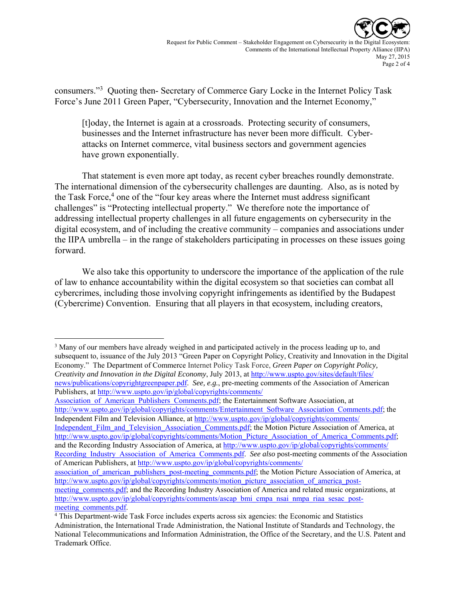

consumers."<sup>3</sup> Quoting then- Secretary of Commerce Gary Locke in the Internet Policy Task Force's June 2011 Green Paper, "Cybersecurity, Innovation and the Internet Economy,"

[t]oday, the Internet is again at a crossroads. Protecting security of consumers, businesses and the Internet infrastructure has never been more difficult. Cyberattacks on Internet commerce, vital business sectors and government agencies have grown exponentially.

That statement is even more apt today, as recent cyber breaches roundly demonstrate. The international dimension of the cybersecurity challenges are daunting. Also, as is noted by the Task Force,<sup>4</sup> one of the "four key areas where the Internet must address significant challenges" is "Protecting intellectual property." We therefore note the importance of addressing intellectual property challenges in all future engagements on cybersecurity in the digital ecosystem, and of including the creative community – companies and associations under the IIPA umbrella – in the range of stakeholders participating in processes on these issues going forward.

We also take this opportunity to underscore the importance of the application of the rule of law to enhance accountability within the digital ecosystem so that societies can combat all cybercrimes, including those involving copyright infringements as identified by the Budapest (Cybercrime) Convention. Ensuring that all players in that ecosystem, including creators,

<sup>3</sup> Many of our members have already weighed in and participated actively in the process leading up to, and subsequent to, issuance of the July 2013 "Green Paper on Copyright Policy, Creativity and Innovation in the Digital Economy." The Department of Commerce Internet Policy Task Force, *Green Paper on Copyright Policy, Creativity and Innovation in the Digital Economy*, July 2013, at http://www.uspto.gov/sites/default/files/ news/publications/copyrightgreenpaper.pdf. *See, e.g.*, pre-meeting comments of the Association of American Publishers, at http://www.uspto.gov/ip/global/copyrights/comments/

 $\overline{a}$ 

Association of American Publishers Comments.pdf; the Entertainment Software Association, at http://www.uspto.gov/ip/global/copyrights/comments/Entertainment\_Software\_Association\_Comments.pdf; the Independent Film and Television Alliance, at http://www.uspto.gov/ip/global/copyrights/comments/

Independent Film and Television Association Comments.pdf; the Motion Picture Association of America, at http://www.uspto.gov/ip/global/copyrights/comments/Motion\_Picture\_Association\_of\_America\_Comments.pdf; and the Recording Industry Association of America, at http://www.uspto.gov/ip/global/copyrights/comments/ Recording Industry Association of America Comments.pdf. See also post-meeting comments of the Association of American Publishers, at http://www.uspto.gov/ip/global/copyrights/comments/

association of american publishers post-meeting comments.pdf; the Motion Picture Association of America, at http://www.uspto.gov/ip/global/copyrights/comments/motion\_picture\_association\_of\_america\_post-

meeting\_comments.pdf; and the Recording Industry Association of America and related music organizations, at http://www.uspto.gov/ip/global/copyrights/comments/ascap\_bmi\_cmpa\_nsai\_nmpa\_riaa\_sesac\_postmeeting comments.pdf.

This Department-wide Task Force includes experts across six agencies: the Economic and Statistics Administration, the International Trade Administration, the National Institute of Standards and Technology, the National Telecommunications and Information Administration, the Office of the Secretary, and the U.S. Patent and Trademark Office.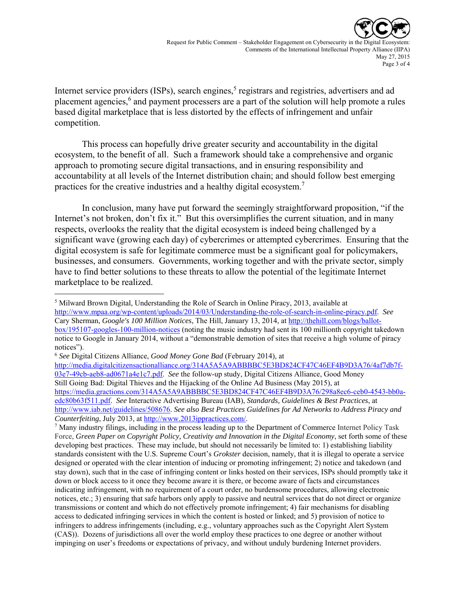

Internet service providers (ISPs), search engines,<sup>5</sup> registrars and registries, advertisers and ad placement agencies,<sup>6</sup> and payment processers are a part of the solution will help promote a rules based digital marketplace that is less distorted by the effects of infringement and unfair competition.

This process can hopefully drive greater security and accountability in the digital ecosystem, to the benefit of all. Such a framework should take a comprehensive and organic approach to promoting secure digital transactions, and in ensuring responsibility and accountability at all levels of the Internet distribution chain; and should follow best emerging practices for the creative industries and a healthy digital ecosystem.7

In conclusion, many have put forward the seemingly straightforward proposition, "if the Internet's not broken, don't fix it." But this oversimplifies the current situation, and in many respects, overlooks the reality that the digital ecosystem is indeed being challenged by a significant wave (growing each day) of cybercrimes or attempted cybercrimes. Ensuring that the digital ecosystem is safe for legitimate commerce must be a significant goal for policymakers, businesses, and consumers. Governments, working together and with the private sector, simply have to find better solutions to these threats to allow the potential of the legitimate Internet marketplace to be realized.

 $\overline{a}$ <sup>5</sup> Milward Brown Digital, Understanding the Role of Search in Online Piracy, 2013, available at http://www.mpaa.org/wp-content/uploads/2014/03/Understanding-the-role-of-search-in-online-piracy.pdf. *See*  Cary Sherman, *Google's 100 Million Notices*, The Hill, January 13, 2014, at http://thehill.com/blogs/ballotbox/195107-googles-100-million-notices (noting the music industry had sent its 100 millionth copyright takedown notice to Google in January 2014, without a "demonstrable demotion of sites that receive a high volume of piracy notices").

<sup>6</sup> *See* Digital Citizens Alliance, *Good Money Gone Bad* (February 2014), at

http://media.digitalcitizensactionalliance.org/314A5A5A9ABBBBC5E3BD824CF47C46EF4B9D3A76/4af7db7f-03e7-49cb-aeb8-ad0671a4e1c7.pdf. *See* the follow-up study, Digital Citizens Alliance, Good Money Still Going Bad: Digital Thieves and the Hijacking of the Online Ad Business (May 2015), at https://media.gractions.com/314A5A5A9ABBBBC5E3BD824CF47C46EF4B9D3A76/298a8ec6-ceb0-4543-bb0aedc80b63f511.pdf. *See* Interactive Advertising Bureau (IAB), *Standards, Guidelines & Best Practices*, at http://www.iab.net/guidelines/508676. *See also Best Practices Guidelines for Ad Networks to Address Piracy and Counterfeiting*, July 2013, at http://www.2013ippractices.com/.

<sup>&</sup>lt;sup>7</sup> Many industry filings, including in the process leading up to the Department of Commerce Internet Policy Task Force, *Green Paper on Copyright Policy, Creativity and Innovation in the Digital Economy*, set forth some of these developing best practices. These may include, but should not necessarily be limited to: 1) establishing liability standards consistent with the U.S. Supreme Court's *Grokster* decision, namely, that it is illegal to operate a service designed or operated with the clear intention of inducing or promoting infringement; 2) notice and takedown (and stay down), such that in the case of infringing content or links hosted on their services, ISPs should promptly take it down or block access to it once they become aware it is there, or become aware of facts and circumstances indicating infringement, with no requirement of a court order, no burdensome procedures, allowing electronic notices, etc.; 3) ensuring that safe harbors only apply to passive and neutral services that do not direct or organize transmissions or content and which do not effectively promote infringement; 4) fair mechanisms for disabling access to dedicated infringing services in which the content is hosted or linked; and 5) provision of notice to infringers to address infringements (including, e.g., voluntary approaches such as the Copyright Alert System (CAS)). Dozens of jurisdictions all over the world employ these practices to one degree or another without impinging on user's freedoms or expectations of privacy, and without unduly burdening Internet providers.